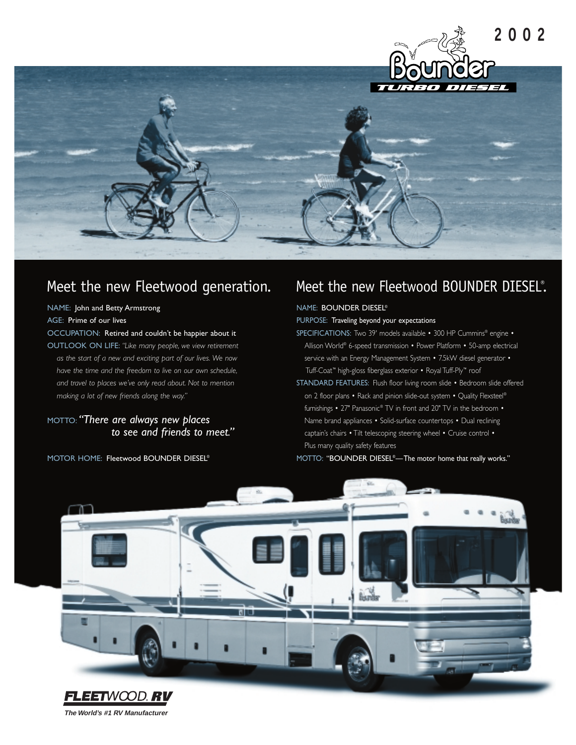

### Meet the new Fleetwood generation.

#### NAME: John and Betty Armstrong

AGE: Prime of our lives

OCCUPATION: Retired and couldn't be happier about it

OUTLOOK ON LIFE: *"Like many people, we view retirement as the start of a new and exciting part of our lives. We now have the time and the freedom to live on our own schedule, and travel to places we've only read about. Not to mention making a lot of new friends along the way."*

MOTTO: *"There are always new places to see and friends to meet."*

MOTOR HOME: Fleetwood BOUNDER DIESEL®

### Meet the new Fleetwood BOUNDER DIESEL®.

### NAME: BOUNDER DIESEL®

PURPOSE: Traveling beyond your expectations

SPECIFICATIONS: Two 39' models available • 300 HP Cummins® engine • Allison World® 6-speed transmission • Power Platform • 50-amp electrical service with an Energy Management System • 7.5kW diesel generator • Tuff-Coat™ high-gloss fiberglass exterior • Royal Tuff-Ply™ roof

STANDARD FEATURES: Flush floor living room slide • Bedroom slide offered on 2 floor plans • Rack and pinion slide-out system • Quality Flexsteel® furnishings • 27" Panasonic® TV in front and 20" TV in the bedroom • Name brand appliances • Solid-surface countertops • Dual reclining captain's chairs • Tilt telescoping steering wheel • Cruise control • Plus many quality safety features

MOTTO: "BOUNDER DIESEL®—The motor home that really works."



**The World's #1 RV Manufacturer**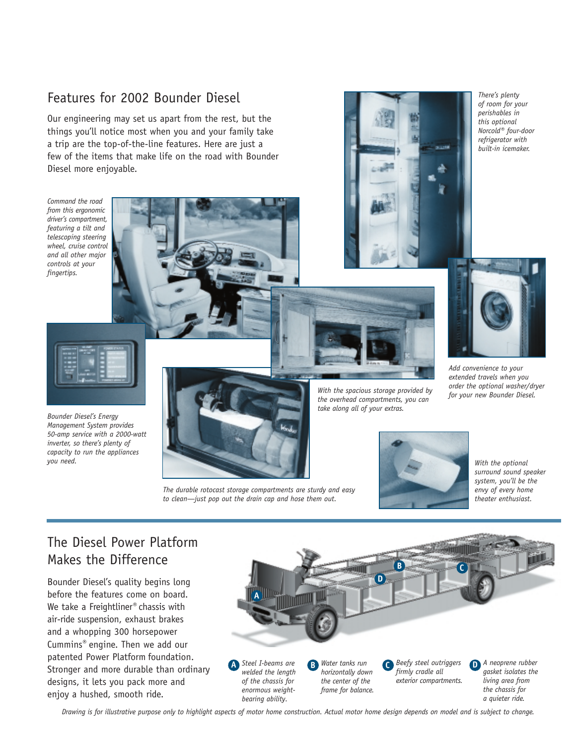### Features for 2002 Bounder Diesel

Our engineering may set us apart from the rest, but the things you'll notice most when you and your family take a trip are the top-of-the-line features. Here are just a few of the items that make life on the road with Bounder Diesel more enjoyable.

*Command the road from this ergonomic driver's compartment, featuring a tilt and telescoping steering wheel, cruise control and all other major controls at your fingertips.*





*There's plenty of room for your perishables in this optional Norcold® four-door refrigerator with built-in icemaker.* 



*Add convenience to your extended travels when you order the optional washer/dryer*



*Bounder Diesel's Energy Management System provides 50-amp service with a 2000-watt inverter, so there's plenty of capacity to run the appliances you need.*



*The durable rotocast storage compartments are sturdy and easy to clean—just pop out the drain cap and hose them out.*

*for your new Bounder Diesel. With the spacious storage provided by the overhead compartments, you can take along all of your extras.*



*With the optional surround sound speaker system, you'll be the envy of every home theater enthusiast.*

### The Diesel Power Platform Makes the Difference

Bounder Diesel's quality begins long before the features come on board. We take a Freightliner® chassis with air-ride suspension, exhaust brakes and a whopping 300 horsepower Cummins® engine. Then we add our patented Power Platform foundation. Stronger and more durable than ordinary designs, it lets you pack more and enjoy a hushed, smooth ride.



*Drawing is for illustrative purpose only to highlight aspects of motor home construction. Actual motor home design depends on model and is subject to change.*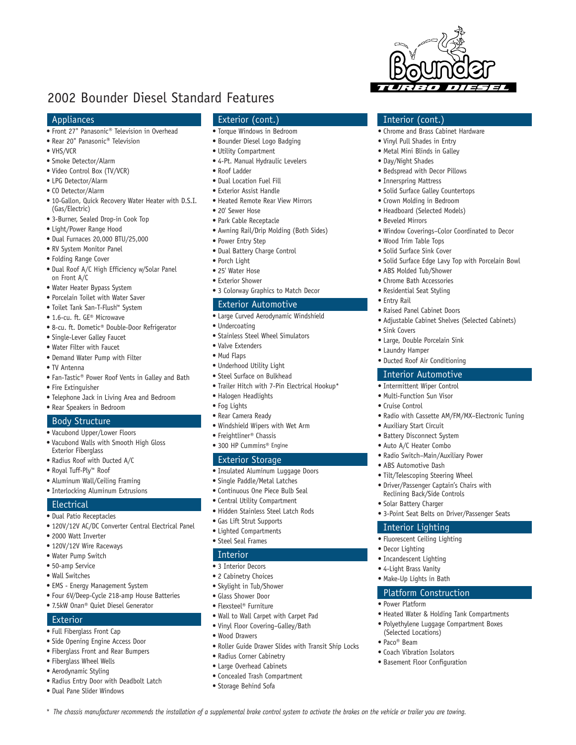### 2002 Bounder Diesel Standard Features

### Appliances

- Front 27" Panasonic® Television in Overhead
- Rear 20" Panasonic® Television
- VHS/VCR
- Smoke Detector/Alarm
- Video Control Box (TV/VCR)
- LPG Detector/Alarm
- CO Detector/Alarm
- 10-Gallon, Quick Recovery Water Heater with D.S.I. (Gas/Electric)
- 3-Burner, Sealed Drop-in Cook Top
- Light/Power Range Hood
- Dual Furnaces 20,000 BTU/25,000
- RV System Monitor Panel
- Folding Range Cover
- Dual Roof A/C High Efficiency w/Solar Panel on Front A/C
- Water Heater Bypass System
- Porcelain Toilet with Water Saver
- Toilet Tank San-T-Flush™ System
- 1.6-cu. ft. GE® Microwave
- 8-cu. ft. Dometic® Double-Door Refrigerator
- Single-Lever Galley Faucet
- Water Filter with Faucet
- Demand Water Pump with Filter
- TV Antenna
- Fan-Tastic® Power Roof Vents in Galley and Bath
- Fire Extinguisher
- Telephone Jack in Living Area and Bedroom
- Rear Speakers in Bedroom

#### Body Structure

- Vacubond Upper/Lower Floors
- Vacubond Walls with Smooth High Gloss Exterior Fiberglass
- Radius Roof with Ducted A/C
- Royal Tuff-Ply™ Roof
- Aluminum Wall/Ceiling Framing
- Interlocking Aluminum Extrusions

#### **Electrical**

- Dual Patio Receptacles
- 120V/12V AC/DC Converter Central Electrical Panel
- 2000 Watt Inverter
- 120V/12V Wire Raceways
- Water Pump Switch
- 50-amp Service
- Wall Switches
- EMS Energy Management System
- Four 6V/Deep-Cycle 218-amp House Batteries
- 7.5kW Onan® Quiet Diesel Generator

### **Exterior**

- Full Fiberglass Front Cap
- Side Opening Engine Access Door
- Fiberglass Front and Rear Bumpers
- Fiberglass Wheel Wells
- Aerodynamic Styling • Radius Entry Door with Deadbolt Latch
- Dual Pane Slider Windows

### Exterior (cont.)

- Torque Windows in Bedroom
- Bounder Diesel Logo Badging

Interior (cont.)

• Chrome and Brass Cabinet Hardware • Vinyl Pull Shades in Entry • Metal Mini Blinds in Galley • Day/Night Shades

• Bedspread with Decor Pillows • Innerspring Mattress

• Solid Surface Galley Countertops • Crown Molding in Bedroom • Headboard (Selected Models)

• Window Coverings–Color Coordinated to Decor

• Solid Surface Edge Lavy Top with Porcelain Bowl

• Adjustable Cabinet Shelves (Selected Cabinets)

• Radio with Cassette AM/FM/MX–Electronic Tuning

• Beveled Mirrors

• Entry Rail

• Sink Covers

• Laundry Hamper

• Auxiliary Start Circuit • Battery Disconnect System • Auto A/C Heater Combo

• ABS Automotive Dash • Tilt/Telescoping Steering Wheel • Driver/Passenger Captain's Chairs with Reclining Back/Side Controls • Solar Battery Charger

Interior Lighting • Fluorescent Ceiling Lighting

Platform Construction

• Decor Lighting • Incandescent Lighting • 4-Light Brass Vanity • Make-Up Lights in Bath

• Power Platform

(Selected Locations) • Paco® Beam

• Coach Vibration Isolators • Basement Floor Configuration

• Radio Switch–Main/Auxiliary Power

• 3-Point Seat Belts on Driver/Passenger Seats

• Heated Water & Holding Tank Compartments • Polyethylene Luggage Compartment Boxes

• Wood Trim Table Tops • Solid Surface Sink Cover

• ABS Molded Tub/Shower • Chrome Bath Accessories • Residential Seat Styling

• Raised Panel Cabinet Doors

• Large, Double Porcelain Sink

• Ducted Roof Air Conditioning Interior Automotive • Intermittent Wiper Control • Multi-Function Sun Visor • Cruise Control

- Utility Compartment
- 4-Pt. Manual Hydraulic Levelers
- Roof Ladder
- Dual Location Fuel Fill
- Exterior Assist Handle
- Heated Remote Rear View Mirrors
- 20' Sewer Hose
- Park Cable Receptacle
- Awning Rail/Drip Molding (Both Sides)
- Power Entry Step
- Dual Battery Charge Control
- Porch Light
- 25' Water Hose
- Exterior Shower
- 3 Colorway Graphics to Match Decor

### Exterior Automotive

- Large Curved Aerodynamic Windshield
- Undercoating
- Stainless Steel Wheel Simulators
- Valve Extenders
- Mud Flaps
- Underhood Utility Light
- Steel Surface on Bulkhead
- Trailer Hitch with 7-Pin Electrical Hookup\*
- Halogen Headlights
- Fog Lights
- Rear Camera Ready
- Windshield Wipers with Wet Arm
- Freightliner® Chassis • 300 HP Cummins® Engine
- Exterior Storage
- Insulated Aluminum Luggage Doors
- Single Paddle/Metal Latches
- Continuous One Piece Bulb Seal
- Central Utility Compartment
- Hidden Stainless Steel Latch Rods
- Gas Lift Strut Supports
- Lighted Compartments
- Steel Seal Frames

#### **Interior**

• 3 Interior Decors

• Wood Drawers

- 2 Cabinetry Choices
- Skylight in Tub/Shower
- Glass Shower Door • Flexsteel® Furniture

• Radius Corner Cabinetry • Large Overhead Cabinets • Concealed Trash Compartment • Storage Behind Sofa

*\* The chassis manufacturer recommends the installation of a supplemental brake control system to activate the brakes on the vehicle or trailer you are towing.*

• Wall to Wall Carpet with Carpet Pad • Vinyl Floor Covering–Galley/Bath

• Roller Guide Drawer Slides with Transit Ship Locks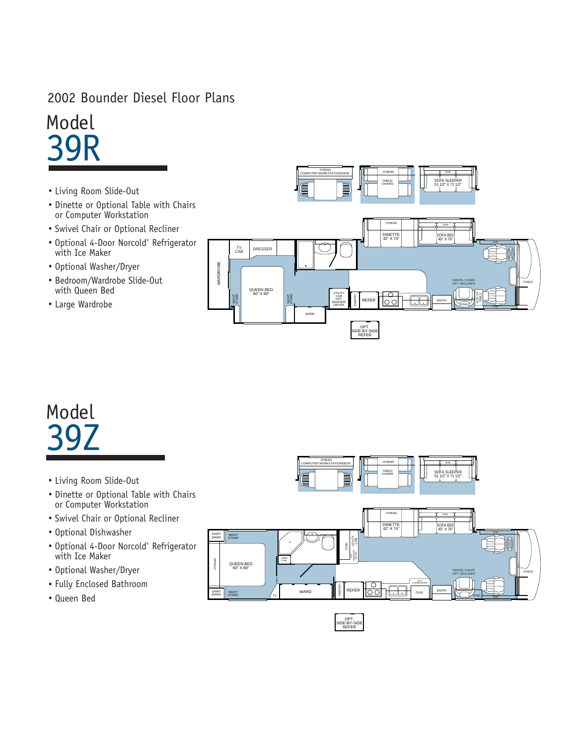### 2002 Bounder Diesel Floor Plans

Model 39R

- Living Room Slide-Out
- Dinette or Optional Table with Chairs or Computer Workstation
- Swivel Chair or Optional Recliner
- Optional 4-Door Norcold® Refrigerator with Ice Maker
- Optional Washer/Dryer
- Bedroom/Wardrobe Slide-Out with Queen Bed
- Large Wardrobe



## Model 39Z

- Living Room Slide-Out
- Dinette or Optional Table with Chairs or Computer Workstation
- Swivel Chair or Optional Recliner
- Optional Dishwasher
- Optional 4-Door Norcold® Refrigerator with Ice Maker
- Optional Washer/Dryer
- Fully Enclosed Bathroom
- Queen Bed



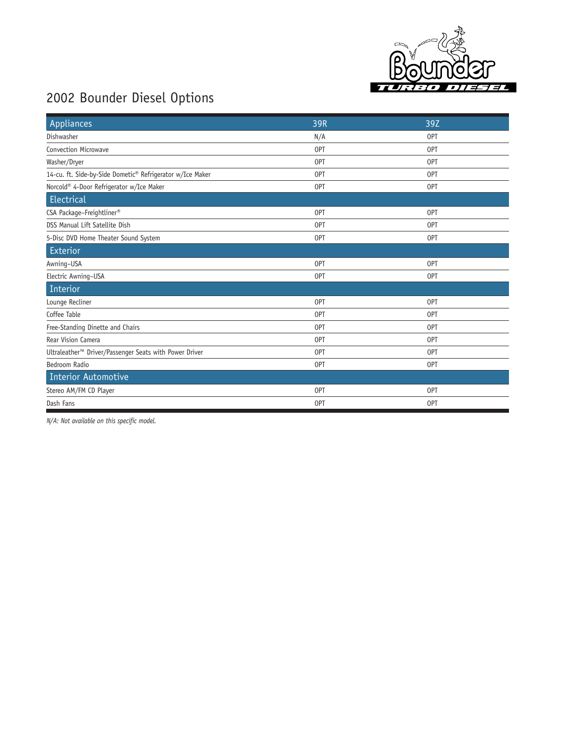

### 2002 Bounder Diesel Options

| Appliances                                                         | 39R | 39Z |
|--------------------------------------------------------------------|-----|-----|
| Dishwasher                                                         | N/A | 0PT |
| Convection Microwave                                               | 0PT | 0PT |
| Washer/Dryer                                                       | 0PT | 0PT |
| 14-cu. ft. Side-by-Side Dometic® Refrigerator w/Ice Maker          | 0PT | 0PT |
| Norcold® 4-Door Refrigerator w/Ice Maker                           | 0PT | 0PT |
| Electrical                                                         |     |     |
| CSA Package-Freightliner®                                          | 0PT | 0PT |
| DSS Manual Lift Satellite Dish                                     | OPT | 0PT |
| 5-Disc DVD Home Theater Sound System                               | 0PT | 0PT |
| Exterior                                                           |     |     |
| Awning-USA                                                         | OPT | OPT |
| Electric Awning-USA                                                | 0PT | 0PT |
| Interior                                                           |     |     |
| Lounge Recliner                                                    | 0PT | 0PT |
| Coffee Table                                                       | 0PT | 0PT |
| Free-Standing Dinette and Chairs                                   | 0PT | OPT |
| <b>Rear Vision Camera</b>                                          | 0PT | 0PT |
| Ultraleather <sup>™</sup> Driver/Passenger Seats with Power Driver | OPT | 0PT |
| Bedroom Radio                                                      | 0PT | 0PT |
| <b>Interior Automotive</b>                                         |     |     |
| Stereo AM/FM CD Player                                             | 0PT | 0PT |
| Dash Fans                                                          | 0PT | 0PT |

*N/A: Not available on this specific model.*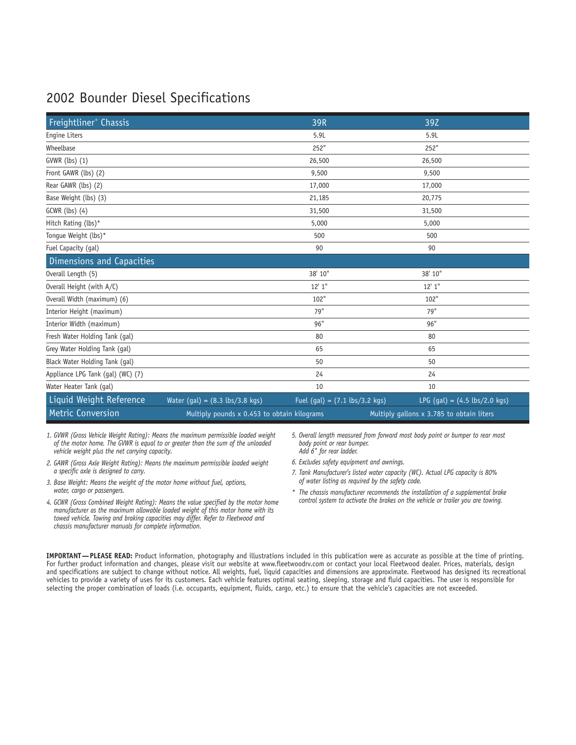### 2002 Bounder Diesel Specifications

| Freightliner <sup>®</sup> Chassis |                                                  | 39R                                             | 39Z                                            |
|-----------------------------------|--------------------------------------------------|-------------------------------------------------|------------------------------------------------|
| Engine Liters                     |                                                  | 5.9L                                            | 5.9L                                           |
| Wheelbase                         |                                                  | 252"                                            | 252"                                           |
| GVWR (lbs) (1)                    |                                                  | 26,500                                          | 26,500                                         |
| Front GAWR (lbs) (2)              |                                                  | 9,500                                           | 9,500                                          |
| Rear GAWR (lbs) (2)               |                                                  | 17,000                                          | 17,000                                         |
| Base Weight (lbs) (3)             |                                                  | 21,185                                          | 20,775                                         |
| GCWR (lbs) (4)                    |                                                  | 31,500                                          | 31,500                                         |
| Hitch Rating (lbs)*               |                                                  | 5,000                                           | 5,000                                          |
| Tongue Weight (lbs)*              |                                                  | 500                                             | 500                                            |
| Fuel Capacity (gal)               |                                                  | 90                                              | 90                                             |
| Dimensions and Capacities         |                                                  |                                                 |                                                |
| Overall Length (5)                |                                                  | 38' 10"                                         | 38' 10"                                        |
| Overall Height (with A/C)         |                                                  | 12'1''                                          | 12'1''                                         |
| Overall Width (maximum) (6)       |                                                  | 102"                                            | 102"                                           |
| Interior Height (maximum)         |                                                  | 79"                                             | 79"                                            |
| Interior Width (maximum)          |                                                  | 96"                                             | 96"                                            |
| Fresh Water Holding Tank (gal)    |                                                  | 80                                              | 80                                             |
| Grey Water Holding Tank (gal)     |                                                  | 65                                              | 65                                             |
| Black Water Holding Tank (gal)    |                                                  | 50                                              | 50                                             |
| Appliance LPG Tank (gal) (WC) (7) |                                                  | 24                                              | 24                                             |
| Water Heater Tank (gal)           |                                                  | 10                                              | 10                                             |
| Liquid Weight Reference           | Water $(gal) = (8.3 \text{ lbs}/3.8 \text{ kg})$ | Fuel (gal) = $(7.1 \text{ lbs}/3.2 \text{ kg})$ | LPG (gal) = $(4.5 \text{ lbs}/2.0 \text{ kg})$ |
| Metric Conversion                 | Multiply pounds x 0.453 to obtain kilograms      |                                                 | Multiply gallons x 3.785 to obtain liters      |

*1. GVWR (Gross Vehicle Weight Rating): Means the maximum permissible loaded weight of the motor home. The GVWR is equal to or greater than the sum of the unloaded vehicle weight plus the net carrying capacity.*

- *2. GAWR (Gross Axle Weight Rating): Means the maximum permissible loaded weight a specific axle is designed to carry.*
- *3. Base Weight: Means the weight of the motor home without fuel, options, water, cargo or passengers.*
- *4. GCWR (Gross Combined Weight Rating): Means the value specified by the motor home manufacturer as the maximum allowable loaded weight of this motor home with its towed vehicle. Towing and braking capacities may differ. Refer to Fleetwood and chassis manufacturer manuals for complete information.*
- *5. Overall length measured from forward most body point or bumper to rear most body point or rear bumper. Add 6" for rear ladder.*
- *6. Excludes safety equipment and awnings.*
- *7. Tank Manufacturer's listed water capacity (WC). Actual LPG capacity is 80% of water listing as required by the safety code.*
- *\* The chassis manufacturer recommends the installation of a supplemental brake control system to activate the brakes on the vehicle or trailer you are towing.*

**IMPORTANT—PLEASE READ:** Product information, photography and illustrations included in this publication were as accurate as possible at the time of printing. For further product information and changes, please visit our website at www.fleetwoodrv.com or contact your local Fleetwood dealer. Prices, materials, design and specifications are subject to change without notice. All weights, fuel, liquid capacities and dimensions are approximate. Fleetwood has designed its recreational vehicles to provide a variety of uses for its customers. Each vehicle features optimal seating, sleeping, storage and fluid capacities. The user is responsible for selecting the proper combination of loads (i.e. occupants, equipment, fluids, cargo, etc.) to ensure that the vehicle's capacities are not exceeded.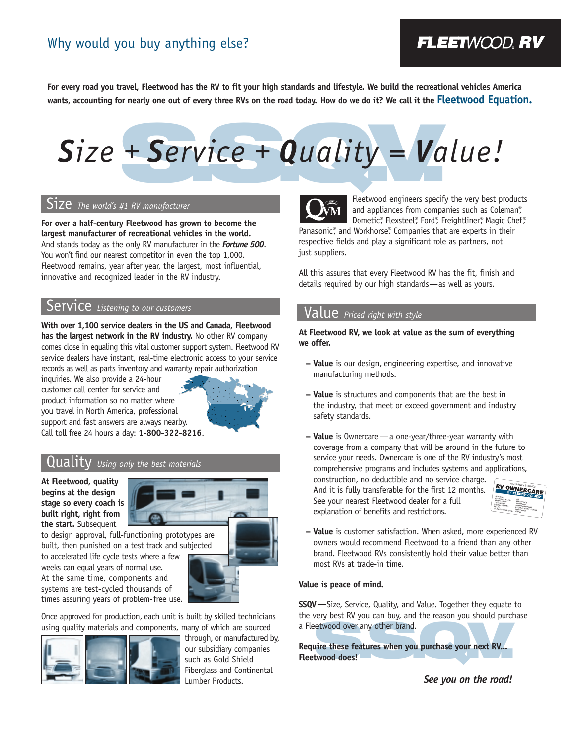### Why would you buy anything else?

### **FLEETWOOD, RV**

**For every road you travel, Fleetwood has the RV to fit your high standards and lifestyle. We build the recreational vehicles America wants, accounting for nearly one out of every three RVs on the road today. How do we do it? We call it the Fleetwood Equation.**

# + Service + Quality = Va *Size + Service + Quality = Value!*

### Size *The world's #1 RV manufacturer*

**For over a half-century Fleetwood has grown to become the largest manufacturer of recreational vehicles in the world.** And stands today as the only RV manufacturer in the *Fortune 500*. You won't find our nearest competitor in even the top 1,000. Fleetwood remains, year after year, the largest, most influential, innovative and recognized leader in the RV industry.

### Service *Listening to our customers*

**With over 1,100 service dealers in the US and Canada, Fleetwood has the largest network in the RV industry.** No other RV company comes close in equaling this vital customer support system. Fleetwood RV service dealers have instant, real-time electronic access to your service records as well as parts inventory and warranty repair authorization

inquiries. We also provide a 24-hour customer call center for service and product information so no matter where you travel in North America, professional support and fast answers are always nearby. Call toll free 24 hours a day: **1-800-322-8216**.



### Quality *Using only the best materials*

**At Fleetwood, quality begins at the design stage so every coach is built right, right from the start.** Subsequent



built, then punished on a test track and subjected to accelerated life cycle tests where a few weeks can equal years of normal use. At the same time, components and systems are test-cycled thousands of times assuring years of problem-free use.

Once approved for production, each unit is built by skilled technicians using quality materials and components, many of which are sourced



through, or manufactured by, our subsidiary companies such as Gold Shield Fiberglass and Continental Lumber Products.



Fleetwood engineers specify the very best products and appliances from companies such as Coleman®, Dometic®, Flexsteel®, Ford®, Freightliner®, Magic Chef®

Panasonic<sup>®</sup>, and Workhorse® Companies that are experts in their respective fields and play a significant role as partners, not just suppliers.

All this assures that every Fleetwood RV has the fit, finish and details required by our high standards—as well as yours.

### Value *Priced right with style*

**At Fleetwood RV, we look at value as the sum of everything we offer.** 

- **Value** is our design, engineering expertise, and innovative manufacturing methods.
- **Value** is structures and components that are the best in the industry, that meet or exceed government and industry safety standards.
- **Value** is Ownercare—a one-year/three-year warranty with coverage from a company that will be around in the future to service your needs. Ownercare is one of the RV industry's most comprehensive programs and includes systems and applications,

construction, no deductible and no service charge. And it is fully transferable for the first 12 months. See your nearest Fleetwood dealer for a full explanation of benefits and restrictions.



**– Value** is customer satisfaction. When asked, more experienced RV owners would recommend Fleetwood to a friend than any other brand. Fleetwood RVs consistently hold their value better than most RVs at trade-in time.

### **Value is peace of mind.**

**SSQV**—Size, Service, Quality, and Value. Together they equate to the very best RV you can buy, and the reason you should purchase a Fleetwood over any other brand.

etwood over any other brand.<br>
The these features when you purchase your next RV...<br>
twood does! **Require these features when you purchase your next RV... Fleetwood does!**

*See you on the road!*